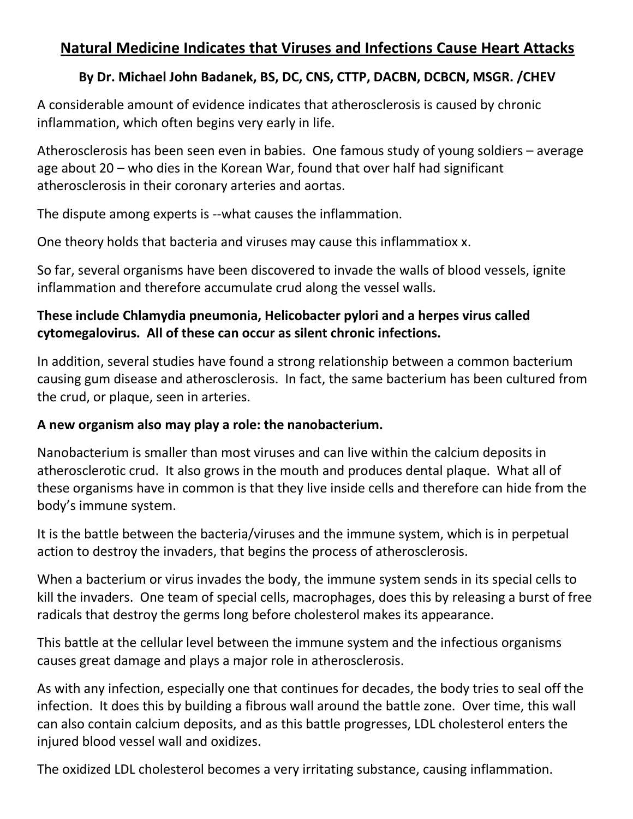## **Natural Medicine Indicates that Viruses and Infections Cause Heart Attacks**

## **By Dr. Michael John Badanek, BS, DC, CNS, CTTP, DACBN, DCBCN, MSGR. /CHEV**

A considerable amount of evidence indicates that atherosclerosis is caused by chronic inflammation, which often begins very early in life.

Atherosclerosis has been seen even in babies. One famous study of young soldiers – average age about 20 – who dies in the Korean War, found that over half had significant atherosclerosis in their coronary arteries and aortas.

The dispute among experts is --what causes the inflammation.

One theory holds that bacteria and viruses may cause this inflammatiox x.

So far, several organisms have been discovered to invade the walls of blood vessels, ignite inflammation and therefore accumulate crud along the vessel walls.

## **These include Chlamydia pneumonia, Helicobacter pylori and a herpes virus called cytomegalovirus. All of these can occur as silent chronic infections.**

In addition, several studies have found a strong relationship between a common bacterium causing gum disease and atherosclerosis. In fact, the same bacterium has been cultured from the crud, or plaque, seen in arteries.

## **A new organism also may play a role: the nanobacterium.**

Nanobacterium is smaller than most viruses and can live within the calcium deposits in atherosclerotic crud. It also grows in the mouth and produces dental plaque. What all of these organisms have in common is that they live inside cellsand therefore can hide from the body's immune system.

It is the battle between the bacteria/viruses and the immune system, which is in perpetual action to destroy the invaders, that begins the process of atherosclerosis.

When a bacterium or virus invades the body, the immune system sends in its special cells to kill the invaders. One team of special cells, macrophages, does this by releasing a burst of free radicals that destroy the germs long before cholesterol makes its appearance.

This battle at the cellular level between the immune system and the infectious organisms causes great damage and plays a major role in atherosclerosis.

As with any infection, especially one that continues for decades, the body tries to seal off the infection. It does this by building a fibrous wall around the battle zone. Over time, this wall can also contain calcium deposits, and as this battle progresses, LDL cholesterol enters the injured blood vessel wall and oxidizes.

The oxidized LDL cholesterol becomes a very irritating substance, causing inflammation.